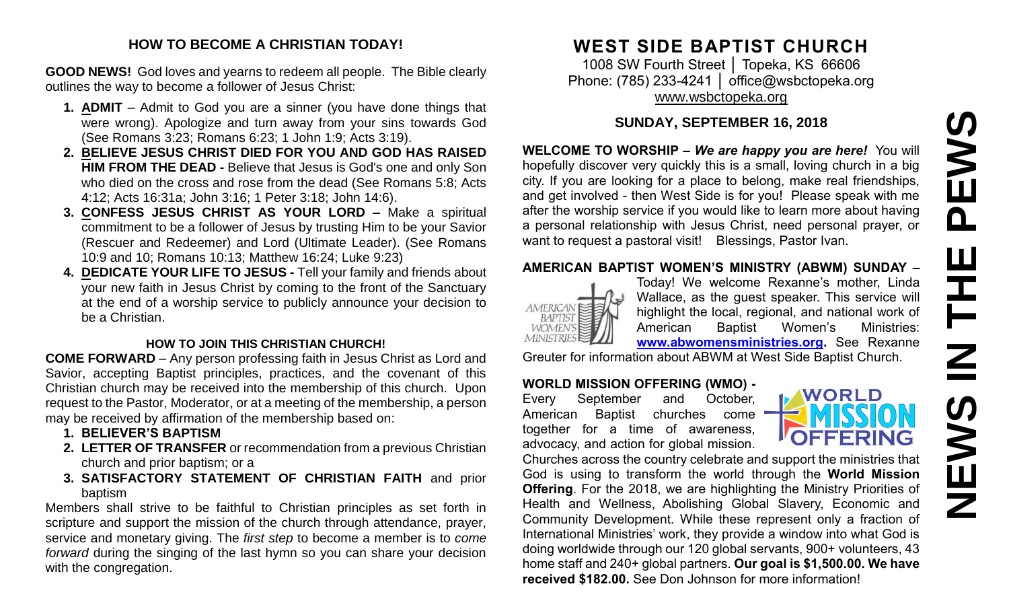# PEWS **NEWS IN THE PEWS** $\mathbf{H}$ F  $\mathbf{Z}$ **SAEMS**

#### **HOW TO BECOME A CHRISTIAN TODAY!**

**GOOD NEWS!** God loves and yearns to redeem all people. The Bible clearly outlines the way to become a follower of Jesus Christ:

- **1. ADMIT** Admit to God you are a sinner (you have done things that were wrong). Apologize and turn away from your sins towards God (See Romans 3:23; Romans 6:23; 1 John 1:9; Acts 3:19).
- **2. BELIEVE JESUS CHRIST DIED FOR YOU AND GOD HAS RAISED HIM FROM THE DEAD -** Believe that Jesus is God's one and only Son who died on the cross and rose from the dead (See Romans 5:8; Acts 4:12; Acts 16:31a; John 3:16; 1 Peter 3:18; John 14:6).
- **3. CONFESS JESUS CHRIST AS YOUR LORD –** Make a spiritual commitment to be a follower of Jesus by trusting Him to be your Savior (Rescuer and Redeemer) and Lord (Ultimate Leader). (See Romans 10:9 and 10; Romans 10:13; Matthew 16:24; Luke 9:23)
- **4. DEDICATE YOUR LIFE TO JESUS -** Tell your family and friends about your new faith in Jesus Christ by coming to the front of the Sanctuary at the end of a worship service to publicly announce your decision to be a Christian.

#### **HOW TO JOIN THIS CHRISTIAN CHURCH!**

**COME FORWARD** – Any person professing faith in Jesus Christ as Lord and Savior, accepting Baptist principles, practices, and the covenant of this Christian church may be received into the membership of this church. Upon request to the Pastor, Moderator, or at a meeting of the membership, a person may be received by affirmation of the membership based on:

- **1. BELIEVER'S BAPTISM**
- **2. LETTER OF TRANSFER** or recommendation from a previous Christian church and prior baptism; or a
- **3. SATISFACTORY STATEMENT OF CHRISTIAN FAITH** and prior baptism

Members shall strive to be faithful to Christian principles as set forth in scripture and support the mission of the church through attendance, prayer, service and monetary giving. The *first step* to become a member is to *come forward* during the singing of the last hymn so you can share your decision with the congregation.

# **WEST SIDE BAPTIST CHURCH**

1008 SW Fourth Street │ Topeka, KS 66606 Phone: (785) 233-4241 | [office@wsbctopeka.org](mailto:office@wsbctopeka.org) [www.wsbctopeka.org](http://www.wsbctopeka.org/)

## **SUNDAY, SEPTEMBER 16, 2018**

**WELCOME TO WORSHIP –** *We are happy you are here!* You will hopefully discover very quickly this is a small, loving church in a big city. If you are looking for a place to belong, make real friendships, and get involved - then West Side is for you! Please speak with me after the worship service if you would like to learn more about having a personal relationship with Jesus Christ, need personal prayer, or want to request a pastoral visit! Blessings, Pastor Ivan.

#### **AMERICAN BAPTIST WOMEN'S MINISTRY (ABWM) SUNDAY –**



Today! We welcome Rexanne's mother, Linda Wallace, as the guest speaker. This service will highlight the local, regional, and national work of American Baptist Women's Ministries: **[www.abwomensministries.org.](http://www.abwomensministries.org/)** See Rexanne

Greuter for information about ABWM at West Side Baptist Church.

#### **WORLD MISSION OFFERING (WMO) -**

Every September and October, American Baptist churches come together for a time of awareness, advocacy, and action for global mission.



Churches across the country celebrate and support the ministries that God is using to transform the world through the **World Mission Offering**. For the 2018, we are highlighting the Ministry Priorities of Health and Wellness, Abolishing Global Slavery, Economic and Community Development. While these represent only a fraction of International Ministries' work, they provide a window into what God is doing worldwide through our 120 global servants, 900+ volunteers, 43 home staff and 240+ global partners. **Our goal is \$1,500.00. We have received \$182.00.** See Don Johnson for more information!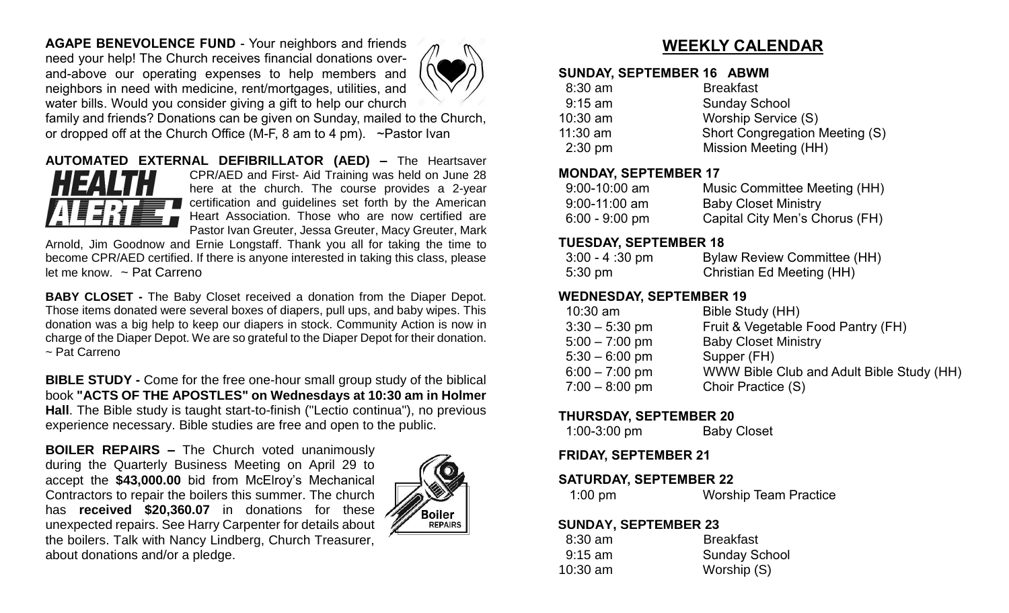**AGAPE BENEVOLENCE FUND** - Your neighbors and friends need your help! The Church receives financial donations overand-above our operating expenses to help members and neighbors in need with medicine, rent/mortgages, utilities, and water bills. Would you consider giving a gift to help our church



family and friends? Donations can be given on Sunday, mailed to the Church, or dropped off at the Church Office (M-F, 8 am to 4 pm). ~Pastor Ivan

#### **AUTOMATED EXTERNAL DEFIBRILLATOR (AED) –** The Heartsaver CPR/AED and First- Aid Training was held on June 28 here at the church. The course provides a 2-year certification and guidelines set forth by the American Heart Association. Those who are now certified are Pastor Ivan Greuter, Jessa Greuter, Macy Greuter, Mark

Arnold, Jim Goodnow and Ernie Longstaff. Thank you all for taking the time to become CPR/AED certified. If there is anyone interested in taking this class, please let me know. ~ Pat Carreno

**BABY CLOSET -** The Baby Closet received a donation from the Diaper Depot. Those items donated were several boxes of diapers, pull ups, and baby wipes. This donation was a big help to keep our diapers in stock. Community Action is now in charge of the Diaper Depot. We are so grateful to the Diaper Depot for their donation. ~ Pat Carreno

**BIBLE STUDY -** Come for the free one-hour small group study of the biblical book **"ACTS OF THE APOSTLES" on Wednesdays at 10:30 am in Holmer Hall**. The Bible study is taught start-to-finish ("Lectio continua"), no previous experience necessary. Bible studies are free and open to the public.

**BOILER REPAIRS –** The Church voted unanimously during the Quarterly Business Meeting on April 29 to accept the **\$43,000.00** bid from McElroy's Mechanical Contractors to repair the boilers this summer. The church has **received \$20,360.07** in donations for these unexpected repairs. See Harry Carpenter for details about the boilers. Talk with Nancy Lindberg, Church Treasurer, about donations and/or a pledge.



# **WEEKLY CALENDAR**

#### **SUNDAY, SEPTEMBER 16 ABWM**

| $8:30$ am         | <b>Breakfast</b>               |
|-------------------|--------------------------------|
| $9:15$ am         | <b>Sunday School</b>           |
| $10:30$ am        | Worship Service (S)            |
| $11:30$ am        | Short Congregation Meeting (S) |
| $2:30 \text{ pm}$ | Mission Meeting (HH)           |
|                   |                                |

#### **MONDAY, SEPTEMBER 17**

| $9:00 - 10:00$ am | Music Committee Meeting (HH)   |
|-------------------|--------------------------------|
| $9:00 - 11:00$ am | <b>Baby Closet Ministry</b>    |
| $6:00 - 9:00$ pm  | Capital City Men's Chorus (FH) |

#### **TUESDAY, SEPTEMBER 18**

| $3:00 - 4:30 \text{ pm}$ | <b>Bylaw Review Committee (HH)</b> |
|--------------------------|------------------------------------|
| $5:30 \text{ pm}$        | Christian Ed Meeting (HH)          |

## **WEDNESDAY, SEPTEMBER 19**

| $10:30$ am       | Bible Study (HH)                          |
|------------------|-------------------------------------------|
| $3:30 - 5:30$ pm | Fruit & Vegetable Food Pantry (FH)        |
| $5:00 - 7:00$ pm | <b>Baby Closet Ministry</b>               |
| $5:30 - 6:00$ pm | Supper (FH)                               |
| $6:00 - 7:00$ pm | WWW Bible Club and Adult Bible Study (HH) |
| $7:00 - 8:00$ pm | Choir Practice (S)                        |

#### **THURSDAY, SEPTEMBER 20**

| $1:00-3:00$ pm | <b>Baby Closet</b> |
|----------------|--------------------|
|----------------|--------------------|

**FRIDAY, SEPTEMBER 21**

#### **SATURDAY, SEPTEMBER 22**

| $1:00$ pm | <b>Worship Team Practice</b> |  |
|-----------|------------------------------|--|
|-----------|------------------------------|--|

#### **SUNDAY, SEPTEMBER 23**

| $8:30$ am  | <b>Breakfast</b>     |
|------------|----------------------|
| $9:15$ am  | <b>Sunday School</b> |
| $10:30$ am | Worship (S)          |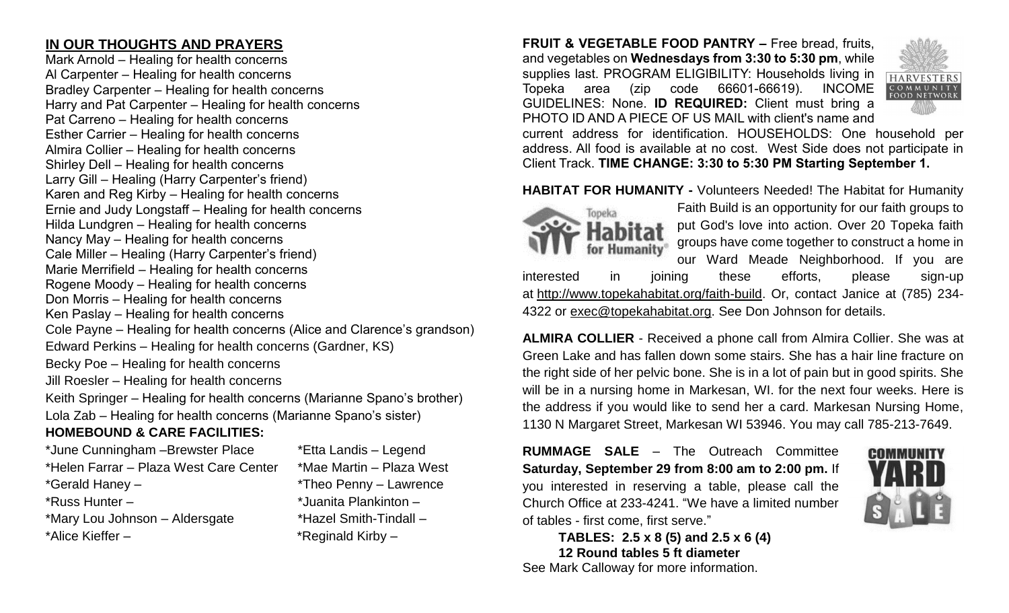# **IN OUR THOUGHTS AND PRAYERS**

Mark Arnold – Healing for health concerns Al Carpenter – Healing for health concerns Bradley Carpenter – Healing for health concerns Harry and Pat Carpenter – Healing for health concerns Pat Carreno – Healing for health concerns Esther Carrier – Healing for health concerns Almira Collier – Healing for health concerns Shirley Dell – Healing for health concerns Larry Gill – Healing (Harry Carpenter's friend) Karen and Reg Kirby – Healing for health concerns Ernie and Judy Longstaff – Healing for health concerns Hilda Lundgren – Healing for health concerns Nancy May – Healing for health concerns Cale Miller – Healing (Harry Carpenter's friend) Marie Merrifield – Healing for health concerns Rogene Moody – Healing for health concerns Don Morris – Healing for health concerns Ken Paslay – Healing for health concerns Cole Payne – Healing for health concerns (Alice and Clarence's grandson) Edward Perkins – Healing for health concerns (Gardner, KS) Becky Poe – Healing for health concerns Jill Roesler – Healing for health concerns Keith Springer – Healing for health concerns (Marianne Spano's brother) Lola Zab – Healing for health concerns (Marianne Spano's sister)

# **HOMEBOUND & CARE FACILITIES:**

\*June Cunningham –Brewster Place \*Etta Landis – Legend \*Helen Farrar – Plaza West Care Center \*Mae Martin – Plaza West \*Gerald Haney – \*Theo Penny – Lawrence \*Russ Hunter – \*Juanita Plankinton – \*Mary Lou Johnson – Aldersgate \*Hazel Smith-Tindall – \*Alice Kieffer – \* \*Reginald Kirby –

**FRUIT & VEGETABLE FOOD PANTRY –** Free bread, fruits, and vegetables on **Wednesdays from 3:30 to 5:30 pm**, while supplies last. PROGRAM ELIGIBILITY: Households living in Topeka area (zip code 66601-66619). INCOME GUIDELINES: None. **ID REQUIRED:** Client must bring a PHOTO ID AND A PIECE OF US MAIL with client's name and



current address for identification. HOUSEHOLDS: One household per address. All food is available at no cost. West Side does not participate in Client Track. **TIME CHANGE: 3:30 to 5:30 PM Starting September 1.**

**HABITAT FOR HUMANITY -** Volunteers Needed! The Habitat for Humanity



Faith Build is an opportunity for our faith groups to put God's love into action. Over 20 Topeka faith groups have come together to construct a home in our Ward Meade Neighborhood. If you are

interested in joining these efforts, please sign-up at [http://www.topekahabitat.org/faith-build.](http://www.topekahabitat.org/faith-build) Or, contact Janice at (785) 234- 4322 or [exec@topekahabitat.org.](mailto:exec@topekahabitat.org) See Don Johnson for details.

**ALMIRA COLLIER** - Received a phone call from Almira Collier. She was at Green Lake and has fallen down some stairs. She has a hair line fracture on the right side of her pelvic bone. She is in a lot of pain but in good spirits. She will be in a nursing home in Markesan, WI. for the next four weeks. Here is the address if you would like to send her a card. Markesan Nursing Home, 1130 N Margaret Street, Markesan WI 53946. You may call 785-213-7649.

**RUMMAGE SALE** – The Outreach Committee **Saturday, September 29 from 8:00 am to 2:00 pm.** If you interested in reserving a table, please call the Church Office at 233-4241. "We have a limited number of tables - first come, first serve."



**TABLES: 2.5 x 8 (5) and 2.5 x 6 (4) 12 Round tables 5 ft diameter** See Mark Calloway for more information.